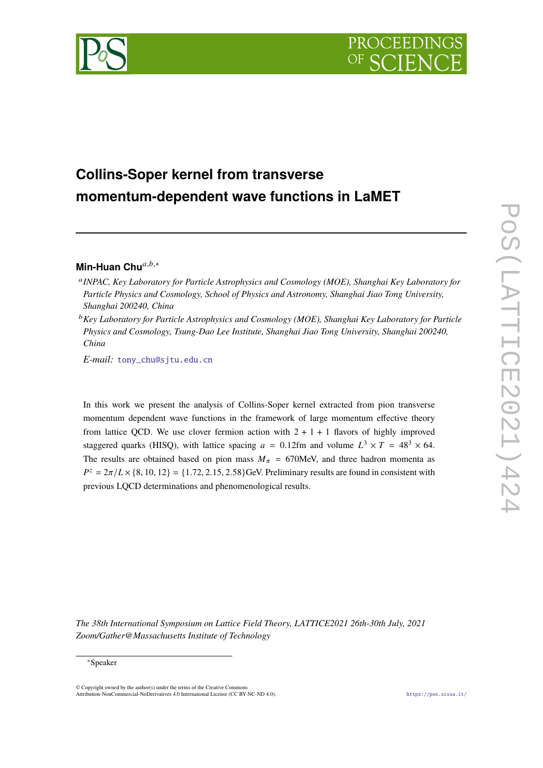

# **Collins-Soper kernel from transverse momentum-dependent wave functions in LaMET**

# **Min-Huan Chu**<sup>a,b,∗</sup>

- *INPAC, Key Laboratory for Particle Astrophysics and Cosmology (MOE), Shanghai Key Laboratory for Particle Physics and Cosmology, School of Physics and Astronomy, Shanghai Jiao Tong University, Shanghai 200240, China*
- *Key Laboratory for Particle Astrophysics and Cosmology (MOE), Shanghai Key Laboratory for Particle Physics and Cosmology, Tsung-Dao Lee Institute, Shanghai Jiao Tong University, Shanghai 200240, China*

*E-mail:* [tony\\_chu@sjtu.edu.cn](mailto:tony_chu@sjtu.edu.cn)

In this work we present the analysis of Collins-Soper kernel extracted from pion transverse momentum dependent wave functions in the framework of large momentum effective theory from lattice QCD. We use clover fermion action with  $2 + 1 + 1$  flavors of highly improved staggered quarks (HISQ), with lattice spacing  $a = 0.12$ fm and volume  $L^3 \times T = 48^3 \times 64$ . The results are obtained based on pion mass  $M_{\pi}$  = 670MeV, and three hadron momenta as  $P^z = 2\pi/L \times \{8, 10, 12\} = \{1.72, 2.15, 2.58\}$ GeV. Preliminary results are found in consistent with previous LQCD determinations and phenomenological results.

*The 38th International Symposium on Lattice Field Theory, LATTICE2021 26th-30th July, 2021 Zoom/Gather@Massachusetts Institute of Technology*

#### <sup>∗</sup>Speaker

© Copyright owned by the author(s) under the terms of the Creative Commons Attribution-NonCommercial-NoDerivatives 4.0 International License (CC BY-NC-ND 4.0). <https://pos.sissa.it/>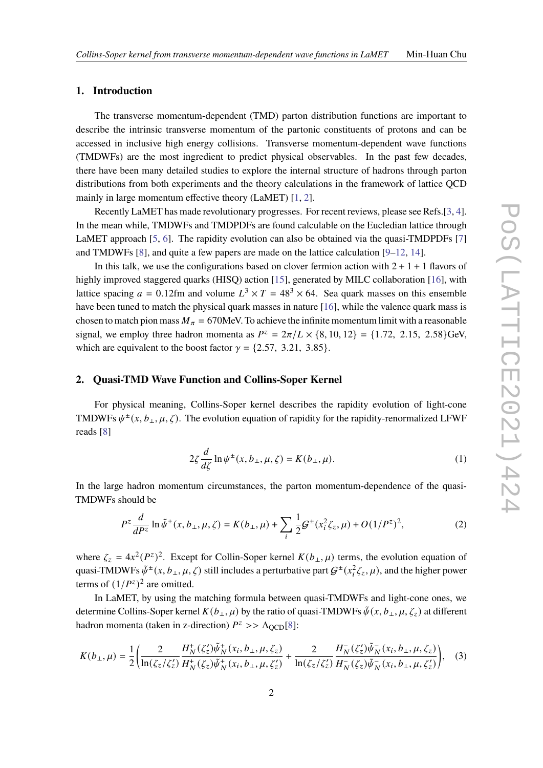#### **1. Introduction**

The transverse momentum-dependent (TMD) parton distribution functions are important to describe the intrinsic transverse momentum of the partonic constituents of protons and can be accessed in inclusive high energy collisions. Transverse momentum-dependent wave functions (TMDWFs) are the most ingredient to predict physical observables. In the past few decades, there have been many detailed studies to explore the internal structure of hadrons through parton distributions from both experiments and the theory calculations in the framework of lattice QCD mainly in large momentum effective theory (LaMET) [\[1,](#page-8-0) [2\]](#page-8-1).

Recently LaMET has made revolutionary progresses. For recent reviews, please see Refs.[\[3,](#page-8-2) [4\]](#page-8-3). In the mean while, TMDWFs and TMDPDFs are found calculable on the Eucledian lattice through LaMET approach [\[5,](#page-8-4) [6\]](#page-9-0). The rapidity evolution can also be obtained via the quasi-TMDPDFs [\[7\]](#page-9-1) and TMDWFs [\[8\]](#page-9-2), and quite a few papers are made on the lattice calculation [\[9–](#page-9-3)[12,](#page-9-4) [14\]](#page-9-5).

In this talk, we use the configurations based on clover fermion action with  $2 + 1 + 1$  flavors of highly improved staggered quarks (HISQ) action [\[15\]](#page-9-6), generated by MILC collaboration [\[16\]](#page-9-7), with lattice spacing  $a = 0.12$ fm and volume  $L^3 \times T = 48^3 \times 64$ . Sea quark masses on this ensemble have been tuned to match the physical quark masses in nature [\[16\]](#page-9-7), while the valence quark mass is chosen to match pion mass  $M_{\pi} = 670$ MeV. To achieve the infinite momentum limit with a reasonable signal, we employ three hadron momenta as  $P^z = 2\pi/L \times \{8, 10, 12\} = \{1.72, 2.15, 2.58\}$ GeV, which are equivalent to the boost factor  $\gamma = \{2.57, 3.21, 3.85\}.$ 

# **2. Quasi-TMD Wave Function and Collins-Soper Kernel**

For physical meaning, Collins-Soper kernel describes the rapidity evolution of light-cone TMDWFs  $\psi^{\pm}(x, b_{\perp}, \mu, \zeta)$ . The evolution equation of rapidity for the rapidity-renormalized LFWF reads [\[8\]](#page-9-2)

$$
2\zeta \frac{d}{d\zeta} \ln \psi^{\pm}(x, b_{\perp}, \mu, \zeta) = K(b_{\perp}, \mu). \tag{1}
$$

In the large hadron momentum circumstances, the parton momentum-dependence of the quasi-TMDWFs should be

$$
P^{z} \frac{d}{dP^{z}} \ln \tilde{\psi}^{\pm}(x, b_{\perp}, \mu, \zeta) = K(b_{\perp}, \mu) + \sum_{i} \frac{1}{2} \mathcal{G}^{\pm}(x_{i}^{2} \zeta_{z}, \mu) + O(1/P^{z})^{2}, \tag{2}
$$

where  $\zeta_z = 4x^2 (P^z)^2$ . Except for Collin-Soper kernel  $K(b_\perp, \mu)$  terms, the evolution equation of quasi-TMDWFs  $\tilde{\psi}^{\pm}(x,b_\perp,\mu,\zeta)$  still includes a perturbative part  $G^{\pm}(x_i^2\zeta_z,\mu)$ , and the higher power terms of  $(1/P<sup>z</sup>)<sup>2</sup>$  are omitted.

In LaMET, by using the matching formula between quasi-TMDWFs and light-cone ones, we determine Collins-Soper kernel  $K(b_\perp, \mu)$  by the ratio of quasi-TMDWFs  $\tilde{\psi}(x, b_\perp, \mu, \zeta_z)$  at different hadron momenta (taken in z-direction)  $P^z$  >>  $\Lambda_{\text{QCD}}[8]$  $\Lambda_{\text{QCD}}[8]$ :

<span id="page-1-0"></span>
$$
K(b_{\perp}, \mu) = \frac{1}{2} \left( \frac{2}{\ln(\zeta_z/\zeta_z')} \frac{H_N^+(\zeta_z')\tilde{\psi}_N^+(\x_i, b_{\perp}, \mu, \zeta_z)}{H_N^+(\zeta_z)\tilde{\psi}_N^+(\x_i, b_{\perp}, \mu, \zeta_z')} + \frac{2}{\ln(\zeta_z/\zeta_z')} \frac{H_N^-(\zeta_z')\tilde{\psi}_N^-(x_i, b_{\perp}, \mu, \zeta_z)}{H_N^-(\zeta_z)\tilde{\psi}_N^-(x_i, b_{\perp}, \mu, \zeta_z')} \right), \quad (3)
$$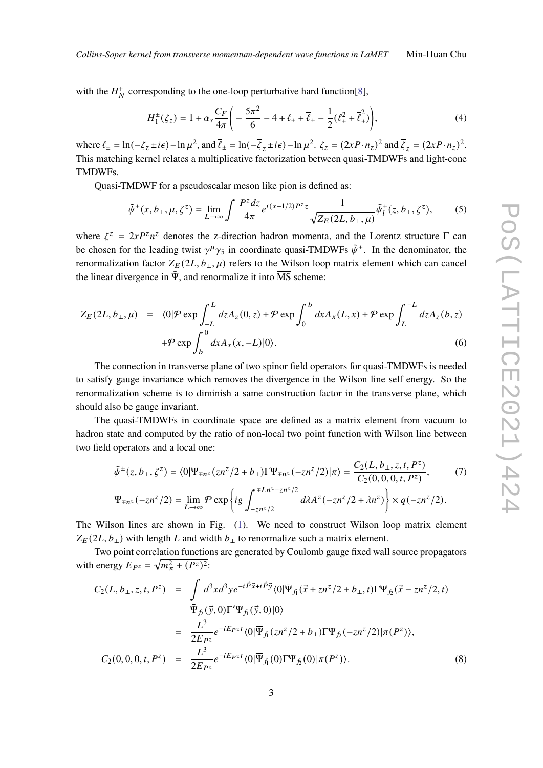with the  $H_N^+$  corresponding to the one-loop perturbative hard function[\[8\]](#page-9-2),

$$
H_1^{\pm}(\zeta_z) = 1 + \alpha_s \frac{C_F}{4\pi} \left( -\frac{5\pi^2}{6} - 4 + \ell_{\pm} + \bar{\ell}_{\pm} - \frac{1}{2} (\ell_{\pm}^2 + \bar{\ell}_{\pm}^2) \right),\tag{4}
$$

where  $\ell_{\pm} = \ln(-\zeta_z \pm i\epsilon) - \ln \mu^2$ , and  $\bar{\ell}_{\pm} = \ln(-\bar{\zeta}_z \pm i\epsilon) - \ln \mu^2$ .  $\zeta_z = (2xP \cdot n_z)^2$  and  $\bar{\zeta}_z = (2\bar{x}P \cdot n_z)^2$ . This matching kernel relates a multiplicative factorization between quasi-TMDWFs and light-cone TMDWFs.

Quasi-TMDWF for a pseudoscalar meson like pion is defined as:

$$
\tilde{\psi}^{\pm}(x, b_{\perp}, \mu, \zeta^z) = \lim_{L \to \infty} \int \frac{P^z dz}{4\pi} e^{i(x - 1/2)P^z z} \frac{1}{\sqrt{Z_E(2L, b_{\perp}, \mu)}} \tilde{\psi}_l^{\pm}(z, b_{\perp}, \zeta^z), \tag{5}
$$

where  $\zeta^z = 2xP^z n^z$  denotes the z-direction hadron momenta, and the Lorentz structure  $\Gamma$  can be chosen for the leading twist  $\gamma^{\mu}\gamma_5$  in coordinate quasi-TMDWFs  $\tilde{\psi}^{\pm}$ . In the denominator, the renormalization factor  $Z_E(2L, b_\perp, \mu)$  refers to the Wilson loop matrix element which can cancel the linear divergence in  $\tilde{\Psi}$ , and renormalize it into  $\overline{MS}$  scheme:

$$
Z_E(2L, b_\perp, \mu) = \langle 0 | \mathcal{P} \exp \int_{-L}^{L} dz A_z(0, z) + \mathcal{P} \exp \int_0^b dx A_x(L, x) + \mathcal{P} \exp \int_L^{-L} dz A_z(b, z)
$$
  
+ $\mathcal{P} \exp \int_b^0 dx A_x(x, -L) |0\rangle.$  (6)

The connection in transverse plane of two spinor field operators for quasi-TMDWFs is needed to satisfy gauge invariance which removes the divergence in the Wilson line self energy. So the renormalization scheme is to diminish a same construction factor in the transverse plane, which should also be gauge invariant.

The quasi-TMDWFs in coordinate space are defined as a matrix element from vacuum to hadron state and computed by the ratio of non-local two point function with Wilson line between two field operators and a local one:

<span id="page-2-1"></span>
$$
\tilde{\psi}^{\pm}(z, b_{\perp}, \zeta^{z}) = \langle 0 | \overline{\Psi}_{\mp n^{z}}(z n^{z}/2 + b_{\perp}) \Gamma \Psi_{\mp n^{z}}(-z n^{z}/2) | \pi \rangle = \frac{C_{2}(L, b_{\perp}, z, t, P^{z})}{C_{2}(0, 0, 0, t, P^{z})}, \tag{7}
$$
\n
$$
\Psi_{\mp n^{z}}(-z n^{z}/2) = \lim_{L \to \infty} \mathcal{P} \exp \left\{ ig \int_{-z n^{z}/2}^{\mp L n^{z} - z n^{z}/2} d\lambda A^{z}(-z n^{z}/2 + \lambda n^{z}) \right\} \times q(-z n^{z}/2).
$$

The Wilson lines are shown in Fig. [\(1\)](#page-3-0). We need to construct Wilson loop matrix element  $Z_E(2L, b_\perp)$  with length L and width  $b_\perp$  to renormalize such a matrix element.

Two point correlation functions are generated by Coulomb gauge fixed wall source propagators with energy  $E_{P^z} = \sqrt{m_{\pi}^2 + (P^z)^2}$ :

<span id="page-2-0"></span>
$$
C_{2}(L, b_{\perp}, z, t, P^{z}) = \int d^{3}x d^{3}y e^{-i\vec{P}\vec{x}+i\vec{P}\vec{y}} \langle 0|\bar{\Psi}_{f_{1}}(\vec{x}+zn^{z}/2+b_{\perp}, t)\Gamma\Psi_{f_{2}}(\vec{x}-zn^{z}/2, t) \n\bar{\Psi}_{f_{2}}(\vec{y}, 0)\Gamma'\Psi_{f_{1}}(\vec{y}, 0)|0\rangle \n= \frac{L^{3}}{2E_{P^{z}}}e^{-iE_{P^{z}}t} \langle 0|\overline{\Psi}_{f_{1}}(zn^{z}/2+b_{\perp})\Gamma\Psi_{f_{2}}(-zn^{z}/2)|\pi(P^{z})\rangle, \nC_{2}(0, 0, 0, t, P^{z}) = \frac{L^{3}}{2E_{P^{z}}}e^{-iE_{P^{z}}t} \langle 0|\overline{\Psi}_{f_{1}}(0)\Gamma\Psi_{f_{2}}(0)|\pi(P^{z})\rangle.
$$
\n(8)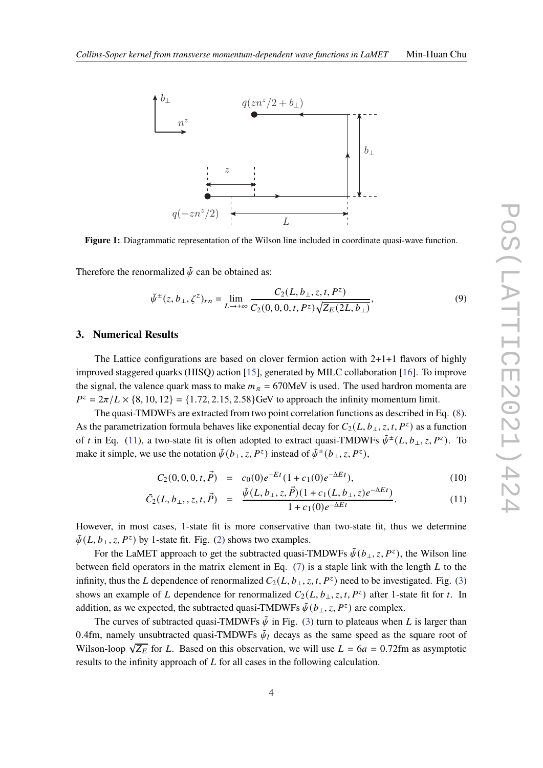<span id="page-3-0"></span>

**Figure 1:** Diagrammatic representation of the Wilson line included in coordinate quasi-wave function.

Therefore the renormalized  $\tilde{\psi}$  can be obtained as:

$$
\tilde{\psi}^{\pm}(z, b_{\perp}, \zeta^z)_{rn} = \lim_{L \to \pm \infty} \frac{C_2(L, b_{\perp}, z, t, P^z)}{C_2(0, 0, 0, t, P^z) \sqrt{Z_E(2L, b_{\perp})}},
$$
\n(9)

### **3. Numerical Results**

The Lattice configurations are based on clover fermion action with  $2+1+1$  flavors of highly improved staggered quarks (HISQ) action [\[15\]](#page-9-6), generated by MILC collaboration [\[16\]](#page-9-7). To improve the signal, the valence quark mass to make  $m_{\pi} = 670$ MeV is used. The used hardron momenta are  $P^z = 2\pi/L \times \{8, 10, 12\} = \{1.72, 2.15, 2.58\}$ GeV to approach the infinity momentum limit.

The quasi-TMDWFs are extracted from two point correlation functions as described in Eq. [\(8\)](#page-2-0). As the parametrization formula behaves like exponential decay for  $C_2(L, b_\perp, z, t, P^z)$  as a function of t in Eq. [\(11\)](#page-3-1), a two-state fit is often adopted to extract quasi-TMDWFs  $\tilde{\psi}^{\pm}(L, b_{\perp}, z, P^z)$ . To make it simple, we use the notation  $\tilde{\psi}(b_{\perp}, z, P^z)$  instead of  $\tilde{\psi}^{\pm}(b_{\perp}, z, P^z)$ ,

<span id="page-3-1"></span>
$$
C_2(0,0,0,t,\vec{P}) = c_0(0)e^{-Et}(1+c_1(0)e^{-\Delta E t}), \qquad (10)
$$

$$
\bar{C}_2(L, b_\perp, z, t, \vec{P}) = \frac{\tilde{\psi}(L, b_\perp, z, \vec{P})(1 + c_1(L, b_\perp, z)e^{-\Delta E t})}{1 + c_1(0)e^{-\Delta E t}}.
$$
\n(11)

However, in most cases, 1-state fit is more conservative than two-state fit, thus we determine  $\tilde{\psi}(L, b_{\perp}, z, P^z)$  by 1-state fit. Fig. [\(2\)](#page-4-0) shows two examples.

For the LaMET approach to get the subtracted quasi-TMDWFs  $\tilde{\psi}(b_{\perp}, z, P^z)$ , the Wilson line between field operators in the matrix element in Eq.  $(7)$  is a staple link with the length  $L$  to the infinity, thus the L dependence of renormalized  $C_2(L, b_\perp, z, t, P^z)$  need to be investigated. Fig. [\(3\)](#page-4-1) shows an example of L dependence for renormalized  $C_2(L, b_\perp, z, t, P^z)$  after 1-state fit for t. In addition, as we expected, the subtracted quasi-TMDWFs  $\tilde{\psi}(b_{\perp}, z, P^z)$  are complex.

The curves of subtracted quasi-TMDWFs  $\tilde{\psi}$  in Fig. [\(3\)](#page-4-1) turn to plateaus when L is larger than 0.4fm, namely unsubtracted quasi-TMDWFs  $\tilde{\psi}_l$  decays as the same speed as the square root of Wilson-loop  $\sqrt{Z_E}$  for L. Based on this observation, we will use  $L = 6a = 0.72$ fm as asymptotic results to the infinity approach of  $L$  for all cases in the following calculation.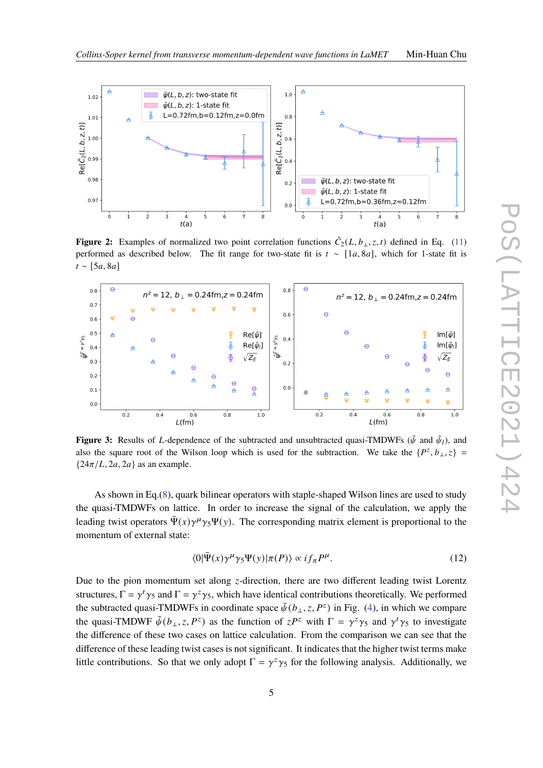

<span id="page-4-0"></span>

**Figure 2:** Examples of normalized two point correlation functions  $\bar{C}_2(L, b_\perp, z, t)$  defined in Eq. [\(11\)](#page-3-1) performed as described below. The fit range for two-state fit is  $t \sim [1a, 8a]$ , which for 1-state fit is  $t \sim [5a, 8a]$ 

<span id="page-4-1"></span>

**Figure 3:** Results of L-dependence of the subtracted and unsubtracted quasi-TMDWFs ( $\tilde{\psi}$  and  $\tilde{\psi}_l$ ), and also the square root of the Wilson loop which is used for the subtraction. We take the  $\{P^z, b_{\perp}, z\}$  ${24\pi/L, 2a, 2a}$  as an example.

As shown in Eq.[\(8\)](#page-2-0), quark bilinear operators with staple-shaped Wilson lines are used to study the quasi-TMDWFs on lattice. In order to increase the signal of the calculation, we apply the leading twist operators  $\bar{\Psi}(x)\gamma^{\mu}\gamma_5\Psi(y)$ . The corresponding matrix element is proportional to the momentum of external state:

$$
\langle 0|\bar{\Psi}(x)\gamma^{\mu}\gamma_{5}\Psi(y)|\pi(P)\rangle \propto i f_{\pi} P^{\mu}.
$$
 (12)

Due to the pion momentum set along  $z$ -direction, there are two different leading twist Lorentz structures,  $\Gamma = \gamma^t \gamma_5$  and  $\Gamma = \gamma^z \gamma_5$ , which have identical contributions theoretically. We performed the subtracted quasi-TMDWFs in coordinate space  $\tilde{\psi}(b_{\perp}, z, P^z)$  in Fig. [\(4\)](#page-5-0), in which we compare the quasi-TMDWF  $\tilde{\psi}(b_+, z, P^z)$  as the function of  $zP^z$  with  $\Gamma = \gamma^z \gamma_5$  and  $\gamma^t \gamma_5$  to investigate the difference of these two cases on lattice calculation. From the comparison we can see that the difference of these leading twist cases is not significant. It indicates that the higher twist terms make little contributions. So that we only adopt  $\Gamma = \gamma^z \gamma_5$  for the following analysis. Additionally, we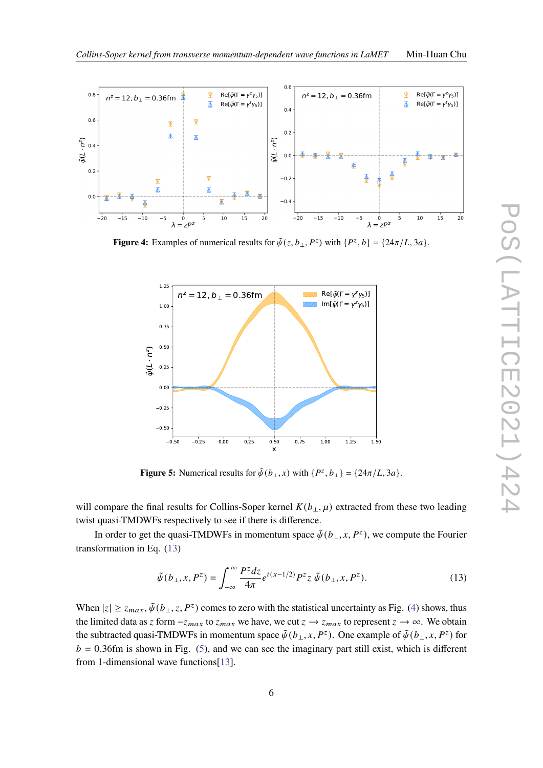

<span id="page-5-0"></span>

<span id="page-5-2"></span>**Figure 4:** Examples of numerical results for  $\tilde{\psi}(z, b_{\perp}, P^z)$  with  $\{P^z, b\} = \{24\pi/L, 3a\}.$ 



**Figure 5:** Numerical results for  $\tilde{\psi}(b_{\perp},x)$  with  $\{P^z, b_{\perp}\} = \{24\pi/L, 3a\}.$ 

will compare the final results for Collins-Soper kernel  $K(b_{\perp}, \mu)$  extracted from these two leading twist quasi-TMDWFs respectively to see if there is difference.

In order to get the quasi-TMDWFs in momentum space  $\tilde{\psi}(b_{\perp}, x, P^z)$ , we compute the Fourier transformation in Eq. [\(13\)](#page-5-1)

<span id="page-5-1"></span>
$$
\tilde{\psi}(b_{\perp},x,P^z) = \int_{-\infty}^{\infty} \frac{P^z dz}{4\pi} e^{i(x-1/2)} P^z z \, \tilde{\psi}(b_{\perp},x,P^z). \tag{13}
$$

When  $|z| \ge z_{max}$ ,  $\tilde{\psi}(b_{\perp}, z, P^z)$  comes to zero with the statistical uncertainty as Fig. [\(4\)](#page-5-0) shows, thus the limited data as z form  $-z_{max}$  to  $z_{max}$  we have, we cut  $z \to z_{max}$  to represent  $z \to \infty$ . We obtain the subtracted quasi-TMDWFs in momentum space  $\tilde{\psi}(b_{\perp},x,P^z)$ . One example of  $\tilde{\psi}(b_{\perp},x,P^z)$  for  $b = 0.36$ fm is shown in Fig. [\(5\)](#page-5-2), and we can see the imaginary part still exist, which is different from 1-dimensional wave functions[\[13\]](#page-9-8).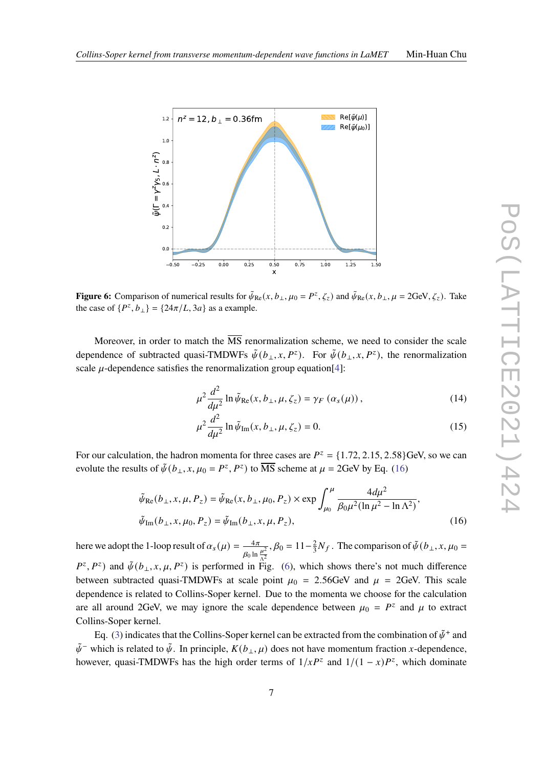<span id="page-6-1"></span>

**Figure 6:** Comparison of numerical results for  $\tilde{\psi}_{Re}(x, b_{\perp}, \mu_0 = P^z, \zeta_z)$  and  $\tilde{\psi}_{Re}(x, b_{\perp}, \mu = 2 \text{GeV}, \zeta_z)$ . Take the case of  $\{P^z, b_\perp\} = \{24\pi/L, 3a\}$  as a example.

Moreover, in order to match the  $\overline{\text{MS}}$  renormalization scheme, we need to consider the scale dependence of subtracted quasi-TMDWFs  $\tilde{\psi}(b_{\perp}, x, P^z)$ . For  $\tilde{\psi}(b_{\perp}, x, P^z)$ , the renormalization scale  $u$ -dependence satisfies the renormalization group equation [\[4\]](#page-8-3):

$$
\mu^2 \frac{d^2}{d\mu^2} \ln \tilde{\psi}_{\text{Re}}(x, b_\perp, \mu, \zeta_z) = \gamma_F \left( \alpha_s(\mu) \right),\tag{14}
$$

$$
\mu^2 \frac{d^2}{d\mu^2} \ln \tilde{\psi}_{\text{Im}}(x, b_\perp, \mu, \zeta_z) = 0.
$$
 (15)

For our calculation, the hadron momenta for three cases are  $P^z = \{1.72, 2.15, 2.58\}$  GeV, so we can evolute the results of  $\tilde{\psi}(b_{\perp}, x, \mu_0 = P^z, P^z)$  to  $\overline{\text{MS}}$  scheme at  $\mu = 2\text{GeV}$  by Eq. [\(16\)](#page-6-0)

<span id="page-6-0"></span>
$$
\tilde{\psi}_{\text{Re}}(b_{\perp}, x, \mu, P_z) = \tilde{\psi}_{\text{Re}}(x, b_{\perp}, \mu_0, P_z) \times \exp \int_{\mu_0}^{\mu} \frac{4d\mu^2}{\beta_0 \mu^2 (\ln \mu^2 - \ln \Lambda^2)},
$$
  
\n
$$
\tilde{\psi}_{\text{Im}}(b_{\perp}, x, \mu_0, P_z) = \tilde{\psi}_{\text{Im}}(b_{\perp}, x, \mu, P_z),
$$
\n(16)

here we adopt the 1-loop result of  $\alpha_s(\mu) = \frac{-4\pi}{\sigma}$  $\beta_0$  ln  $\frac{\mu^2}{\Lambda^2}$  $, \beta_0 = 11-\frac{2}{3}$  $\frac{2}{3}N_f$ . The comparison of  $\tilde{\psi}(b_{\perp}, x, \mu_0 =$  $P^z, P^z$ ) and  $\tilde{\psi}(b_\perp, x, \mu, P^z)$  is performed in Fig. [\(6\)](#page-6-1), which shows there's not much difference between subtracted quasi-TMDWFs at scale point  $\mu_0 = 2.56$  GeV and  $\mu = 2$ GeV. This scale dependence is related to Collins-Soper kernel. Due to the momenta we choose for the calculation are all around 2GeV, we may ignore the scale dependence between  $\mu_0 = P^z$  and  $\mu$  to extract Collins-Soper kernel.

Eq. [\(3\)](#page-1-0) indicates that the Collins-Soper kernel can be extracted from the combination of  $\tilde{\psi}^+$  and  $\tilde{\psi}^-$  which is related to  $\tilde{\psi}$ . In principle,  $K(b_{\perp}, \mu)$  does not have momentum fraction x-dependence, however, quasi-TMDWFs has the high order terms of  $1/xP^z$  and  $1/(1-x)P^z$ , which dominate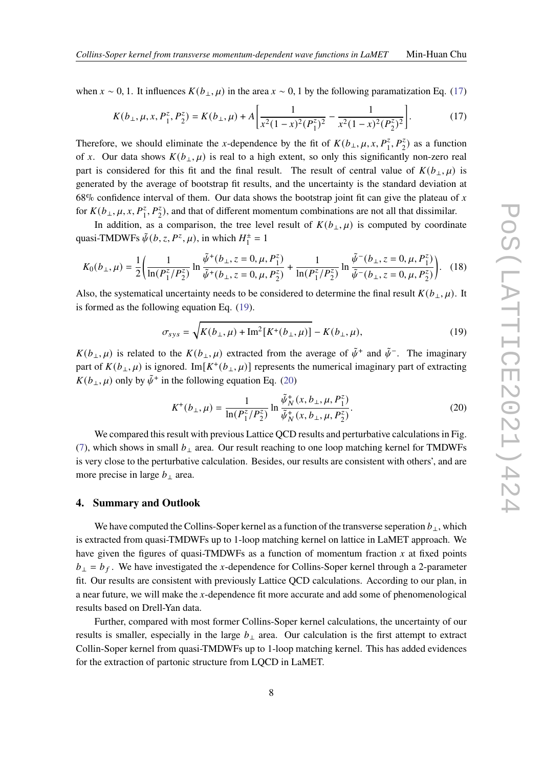when  $x \sim 0$ , 1. It influences  $K(b_{\perp}, \mu)$  in the area  $x \sim 0$ , 1 by the following paramatization Eq. [\(17\)](#page-7-0)

<span id="page-7-0"></span>
$$
K(b_{\perp}, \mu, x, P_1^z, P_2^z) = K(b_{\perp}, \mu) + A \left[ \frac{1}{x^2 (1 - x)^2 (P_1^z)^2} - \frac{1}{x^2 (1 - x)^2 (P_2^z)^2} \right].
$$
 (17)

Therefore, we should eliminate the x-dependence by the fit of  $K(b_{\perp}, \mu, x, P_1^z, P_2^z)$  as a function of x. Our data shows  $K(b_{\perp}, \mu)$  is real to a high extent, so only this significantly non-zero real part is considered for this fit and the final result. The result of central value of  $K(b_{\perp}, \mu)$  is generated by the average of bootstrap fit results, and the uncertainty is the standard deviation at 68% confidence interval of them. Our data shows the bootstrap joint fit can give the plateau of  $x$ for  $K(b_\perp, \mu, x, P_1^z, P_2^z)$ , and that of different momentum combinations are not all that dissimilar.

In addition, as a comparison, the tree level result of  $K(b_{\perp}, \mu)$  is computed by coordinate quasi-TMDWFs  $\tilde{\psi}(b, z, P^z, \mu)$ , in which  $H_1^{\pm}$  $i^{\pm} = 1$ 

$$
K_0(b_\perp,\mu) = \frac{1}{2} \left( \frac{1}{\ln(P_1^z/P_2^z)} \ln \frac{\tilde{\psi}^+(b_\perp, z = 0, \mu, P_1^z)}{\tilde{\psi}^+(b_\perp, z = 0, \mu, P_2^z)} + \frac{1}{\ln(P_1^z/P_2^z)} \ln \frac{\tilde{\psi}^-(b_\perp, z = 0, \mu, P_1^z)}{\tilde{\psi}^-(b_\perp, z = 0, \mu, P_2^z)} \right). \quad (18)
$$

Also, the systematical uncertainty needs to be considered to determine the final result  $K(b_{\perp}, \mu)$ . It is formed as the following equation Eq. [\(19\)](#page-7-1).

<span id="page-7-1"></span>
$$
\sigma_{sys} = \sqrt{K(b_{\perp}, \mu) + \text{Im}^2[K^+(b_{\perp}, \mu)]} - K(b_{\perp}, \mu),\tag{19}
$$

 $K(b_\perp, \mu)$  is related to the  $K(b_\perp, \mu)$  extracted from the average of  $\tilde{\psi}^+$  and  $\tilde{\psi}^-$ . The imaginary part of  $K(b_\perp, \mu)$  is ignored. Im $[K^+(b_\perp, \mu)]$  represents the numerical imaginary part of extracting  $K(b_{\perp}, \mu)$  only by  $\tilde{\psi}^+$  in the following equation Eq. [\(20\)](#page-7-2)

<span id="page-7-2"></span>
$$
K^{+}(b_{\perp}, \mu) = \frac{1}{\ln(P_{1}^{z}/P_{2}^{z})} \ln \frac{\tilde{\psi}_{N}^{+}(x, b_{\perp}, \mu, P_{1}^{z})}{\tilde{\psi}_{N}^{+}(x, b_{\perp}, \mu, P_{2}^{z})}.
$$
 (20)

We compared this result with previous Lattice QCD results and perturbative calculations in Fig. [\(7\)](#page-8-5), which shows in small  $b_{\perp}$  area. Our result reaching to one loop matching kernel for TMDWFs is very close to the perturbative calculation. Besides, our results are consistent with others', and are more precise in large  $b_{\perp}$  area.

#### **4. Summary and Outlook**

We have computed the Collins-Soper kernel as a function of the transverse seperation  $b_{\perp}$ , which is extracted from quasi-TMDWFs up to 1-loop matching kernel on lattice in LaMET approach. We have given the figures of quasi-TMDWFs as a function of momentum fraction  $x$  at fixed points  $b_{\perp} = b_f$ . We have investigated the x-dependence for Collins-Soper kernel through a 2-parameter fit. Our results are consistent with previously Lattice QCD calculations. According to our plan, in a near future, we will make the  $x$ -dependence fit more accurate and add some of phenomenological results based on Drell-Yan data.

Further, compared with most former Collins-Soper kernel calculations, the uncertainty of our results is smaller, especially in the large  $b_{\perp}$  area. Our calculation is the first attempt to extract Collin-Soper kernel from quasi-TMDWFs up to 1-loop matching kernel. This has added evidences for the extraction of partonic structure from LQCD in LaMET.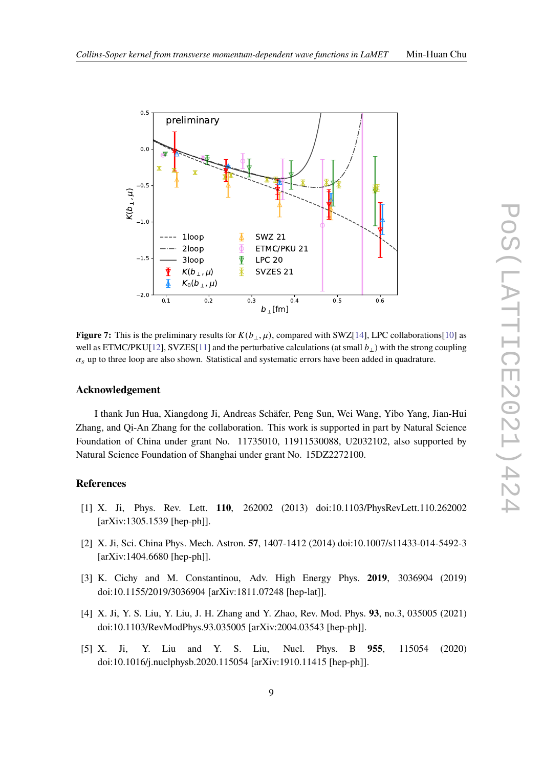<span id="page-8-5"></span>

**Figure 7:** This is the preliminary results for  $K(b_+, \mu)$ , compared with SWZ[\[14\]](#page-9-5), LPC collaborations[\[10\]](#page-9-9) as well as ETMC/PKU[\[12\]](#page-9-4), SVZES[\[11\]](#page-9-10) and the perturbative calculations (at small  $b_{\perp}$ ) with the strong coupling  $\alpha_s$  up to three loop are also shown. Statistical and systematic errors have been added in quadrature.

#### **Acknowledgement**

I thank Jun Hua, Xiangdong Ji, Andreas Schäfer, Peng Sun, Wei Wang, Yibo Yang, Jian-Hui Zhang, and Qi-An Zhang for the collaboration. This work is supported in part by Natural Science Foundation of China under grant No. 11735010, 11911530088, U2032102, also supported by Natural Science Foundation of Shanghai under grant No. 15DZ2272100.

# **References**

- <span id="page-8-0"></span>[1] X. Ji, Phys. Rev. Lett. **110**, 262002 (2013) doi:10.1103/PhysRevLett.110.262002 [arXiv:1305.1539 [hep-ph]].
- <span id="page-8-1"></span>[2] X. Ji, Sci. China Phys. Mech. Astron. **57**, 1407-1412 (2014) doi:10.1007/s11433-014-5492-3 [arXiv:1404.6680 [hep-ph]].
- <span id="page-8-2"></span>[3] K. Cichy and M. Constantinou, Adv. High Energy Phys. **2019**, 3036904 (2019) doi:10.1155/2019/3036904 [arXiv:1811.07248 [hep-lat]].
- <span id="page-8-3"></span>[4] X. Ji, Y. S. Liu, Y. Liu, J. H. Zhang and Y. Zhao, Rev. Mod. Phys. **93**, no.3, 035005 (2021) doi:10.1103/RevModPhys.93.035005 [arXiv:2004.03543 [hep-ph]].
- <span id="page-8-4"></span>[5] X. Ji, Y. Liu and Y. S. Liu, Nucl. Phys. B **955**, 115054 (2020) doi:10.1016/j.nuclphysb.2020.115054 [arXiv:1910.11415 [hep-ph]].